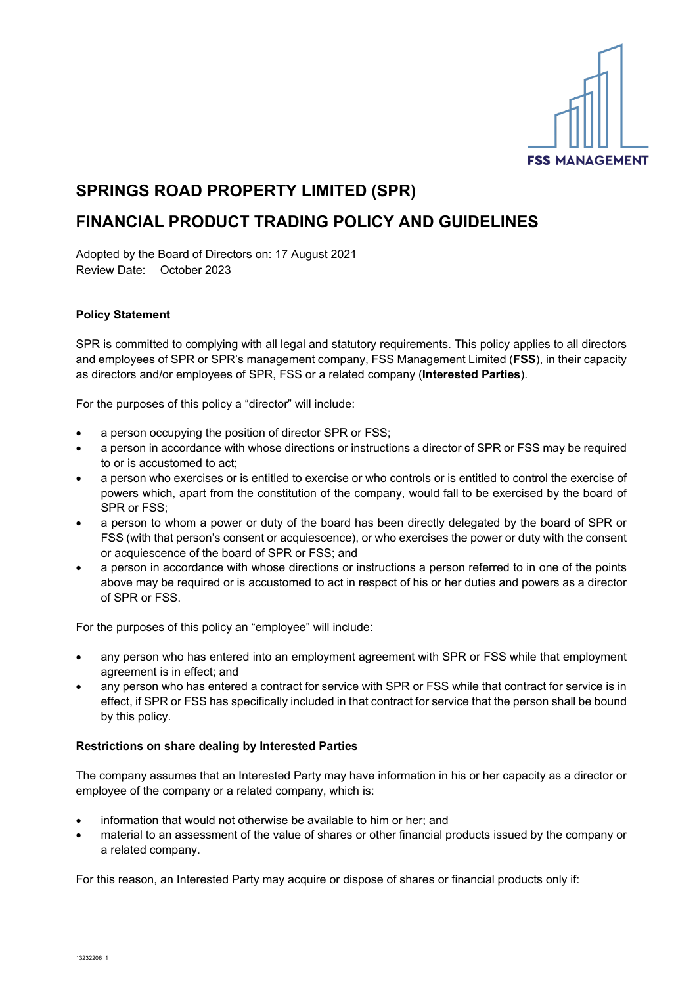

# **SPRINGS ROAD PROPERTY LIMITED (SPR)**

## **FINANCIAL PRODUCT TRADING POLICY AND GUIDELINES**

Adopted by the Board of Directors on: 17 August 2021 Review Date: October 2023

### **Policy Statement**

SPR is committed to complying with all legal and statutory requirements. This policy applies to all directors and employees of SPR or SPR's management company, FSS Management Limited (**FSS**), in their capacity as directors and/or employees of SPR, FSS or a related company (**Interested Parties**).

For the purposes of this policy a "director" will include:

- a person occupying the position of director SPR or FSS;
- a person in accordance with whose directions or instructions a director of SPR or FSS may be required to or is accustomed to act;
- a person who exercises or is entitled to exercise or who controls or is entitled to control the exercise of powers which, apart from the constitution of the company, would fall to be exercised by the board of SPR or FSS;
- a person to whom a power or duty of the board has been directly delegated by the board of SPR or FSS (with that person's consent or acquiescence), or who exercises the power or duty with the consent or acquiescence of the board of SPR or FSS; and
- a person in accordance with whose directions or instructions a person referred to in one of the points above may be required or is accustomed to act in respect of his or her duties and powers as a director of SPR or FSS.

For the purposes of this policy an "employee" will include:

- any person who has entered into an employment agreement with SPR or FSS while that employment agreement is in effect; and
- any person who has entered a contract for service with SPR or FSS while that contract for service is in effect, if SPR or FSS has specifically included in that contract for service that the person shall be bound by this policy.

### **Restrictions on share dealing by Interested Parties**

The company assumes that an Interested Party may have information in his or her capacity as a director or employee of the company or a related company, which is:

- information that would not otherwise be available to him or her; and
- material to an assessment of the value of shares or other financial products issued by the company or a related company.

For this reason, an Interested Party may acquire or dispose of shares or financial products only if: